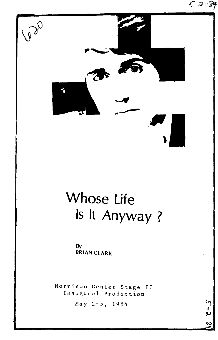

# Whose life Is It Anyway ?

By BRIAN CLARK

Morrison Center Stage II Inaugural Production

 $\mathsf{C}_1$ 

May 2-5, 1984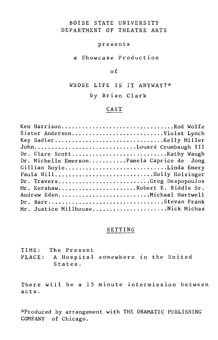## BOISE STATE UNIVERSITY DEPARTMENT OF THEATRE ARTS

## presents

a Showcase Production

## of

WHOSE LIFE IS IT ANYWAY?\*

by Brian Clark

# CAST

| Ken HarrisonRod Wolfe                      |
|--------------------------------------------|
| Sister AndersonViolet Lynch                |
| Kay SadlerKelly Miller                     |
| JohnLouard Crumbaugh III                   |
|                                            |
| Dr. Michelle EmersonPamela Caprice de Jong |
| Gillian BoyleLinda Emery                   |
| Paula HillBolly Holsinger                  |
| Dr. TraversGreg Despopoulos                |
| Mr. KershawRobert E. Riddle Sr.            |
| Andrew EdenMichael Hartwell                |
|                                            |
| Mr. Justice MillhouseNick Michas           |
|                                            |

## SETTING

TIME: The Present PLACE: A Hospital somewhere in the United States.

There will be a 15 minute intermission between acts.

\*Produced by arrangement with THE DRAMATIC PUBLISHING COMPANY of Chicago.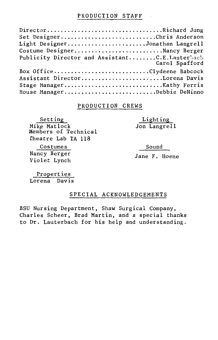## PRODUCTION STAFF

| DirectorRichard Jung                                             |
|------------------------------------------------------------------|
| Set DesignerChris Anderson                                       |
| Light DesignerJonathan Langrell                                  |
| Costume DesignerNancy Berger                                     |
| Publicity Director and AssistantC.E.Lauterbach<br>Carol Spafford |
| Box OfficeClydeene Babcock                                       |
| Assistant DirectorLorena Davis                                   |
| Stage ManagerKathy Ferris                                        |
| House ManagerDebbie DeNinno                                      |

## PRODUCTION CREWS

Setting Mike Matlock Members of Technical Theatre Lab TA 118

Costumes

Nancy Berger Violet Lynch Sound

Lighting Jon Langrell

Jane F. Hoene

Properties Lorena Davis

## SPECIAL ACKNOWLEDGEMENTS

BSU Nursing Department, Shaw Surgical Company, Charles Scheer, Brad Martin, and a special thanks to Dr. Lauterbach for his help and understanding.